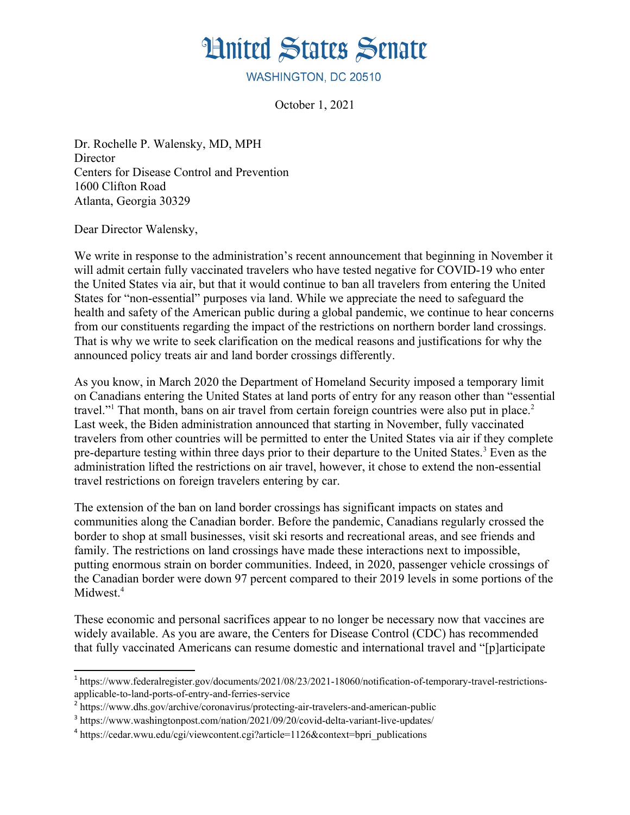

WASHINGTON, DC 20510

October 1, 2021

Dr. Rochelle P. Walensky, MD, MPH **Director** Centers for Disease Control and Prevention 1600 Clifton Road Atlanta, Georgia 30329

Dear Director Walensky,

We write in response to the administration's recent announcement that beginning in November it will admit certain fully vaccinated travelers who have tested negative for COVID-19 who enter the United States via air, but that it would continue to ban all travelers from entering the United States for "non-essential" purposes via land. While we appreciate the need to safeguard the health and safety of the American public during a global pandemic, we continue to hear concerns from our constituents regarding the impact of the restrictions on northern border land crossings. That is why we write to seek clarification on the medical reasons and justifications for why the announced policy treats air and land border crossings differently.

As you know, in March 2020 the Department of Homeland Security imposed a temporary limit on Canadians entering the United States at land ports of entry for any reason other than "essential travel."<sup>[1](#page-0-0)</sup> That month, bans on air travel from certain foreign countries were also put in place.<sup>[2](#page-0-1)</sup> Last week, the Biden administration announced that starting in November, fully vaccinated travelers from other countries will be permitted to enter the United States via air if they complete pre-departure testing within three days prior to their departure to the United States.<sup>[3](#page-0-2)</sup> Even as the administration lifted the restrictions on air travel, however, it chose to extend the non-essential travel restrictions on foreign travelers entering by car.

The extension of the ban on land border crossings has significant impacts on states and communities along the Canadian border. Before the pandemic, Canadians regularly crossed the border to shop at small businesses, visit ski resorts and recreational areas, and see friends and family. The restrictions on land crossings have made these interactions next to impossible, putting enormous strain on border communities. Indeed, in 2020, passenger vehicle crossings of the Canadian border were down 97 percent compared to their 2019 levels in some portions of the Midwest.<sup>[4](#page-0-3)</sup>

These economic and personal sacrifices appear to no longer be necessary now that vaccines are widely available. As you are aware, the Centers for Disease Control (CDC) has recommended that fully vaccinated Americans can resume domestic and international travel and "[p]articipate

<span id="page-0-0"></span><sup>&</sup>lt;sup>1</sup> https://www.federalregister.gov/documents/2021/08/23/2021-18060/notification-of-temporary-travel-restrictionsapplicable-to-land-ports-of-entry-and-ferries-service

<span id="page-0-1"></span><sup>&</sup>lt;sup>2</sup> https://www.dhs.gov/archive/coronavirus/protecting-air-travelers-and-american-public

<span id="page-0-2"></span><sup>&</sup>lt;sup>3</sup> https://www.washingtonpost.com/nation/2021/09/20/covid-delta-variant-live-updates/

<span id="page-0-3"></span><sup>&</sup>lt;sup>4</sup> https://cedar.wwu.edu/cgi/viewcontent.cgi?article=1126&context=bpri\_publications